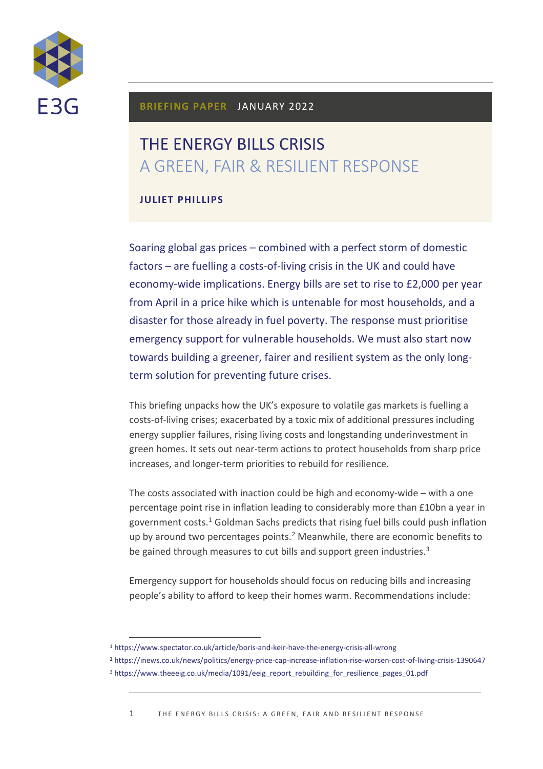

## **BRIEFING PAPER** JANUARY 2022

# THE ENERGY BILLS CRISIS A GREEN, FAIR & RESILIENT RESPONSE

## **JULIET PHILLIPS**

Soaring global gas prices – combined with a perfect storm of domestic factors – are fuelling a costs-of-living crisis in the UK and could have economy-wide implications. Energy bills are set to rise to £2,000 per year from April in a price hike which is untenable for most households, and a disaster for those already in fuel poverty. The response must prioritise emergency support for vulnerable households. We must also start now towards building a greener, fairer and resilient system as the only longterm solution for preventing future crises.

This briefing unpacks how the UK's exposure to volatile gas markets is fuelling a costs-of-living crises; exacerbated by a toxic mix of additional pressures including energy supplier failures, rising living costs and longstanding underinvestment in green homes. It sets out near-term actions to protect households from sharp price increases, and longer-term priorities to rebuild for resilience.

The costs associated with inaction could be high and economy-wide – with a one percentage point rise in inflation leading to considerably more than £10bn a year in government costs. [1](#page-0-0) Goldman Sachs predicts that rising fuel bills could push inflation up by around two percentages points.<sup>[2](#page-0-1)</sup> Meanwhile, there are economic benefits to be gained through measures to cut bills and support green industries.<sup>[3](#page-0-2)</sup>

Emergency support for households should focus on reducing bills and increasing people's ability to afford to keep their homes warm. Recommendations include:

<span id="page-0-2"></span><span id="page-0-1"></span>**<sup>2</sup>** <https://inews.co.uk/news/politics/energy-price-cap-increase-inflation-rise-worsen-cost-of-living-crisis-1390647> <sup>3</sup> [https://www.theeeig.co.uk/media/1091/eeig\\_report\\_rebuilding\\_for\\_resilience\\_pages\\_01.pdf](https://www.theeeig.co.uk/media/1091/eeig_report_rebuilding_for_resilience_pages_01.pdf)

<span id="page-0-0"></span><sup>1</sup> <https://www.spectator.co.uk/article/boris-and-keir-have-the-energy-crisis-all-wrong>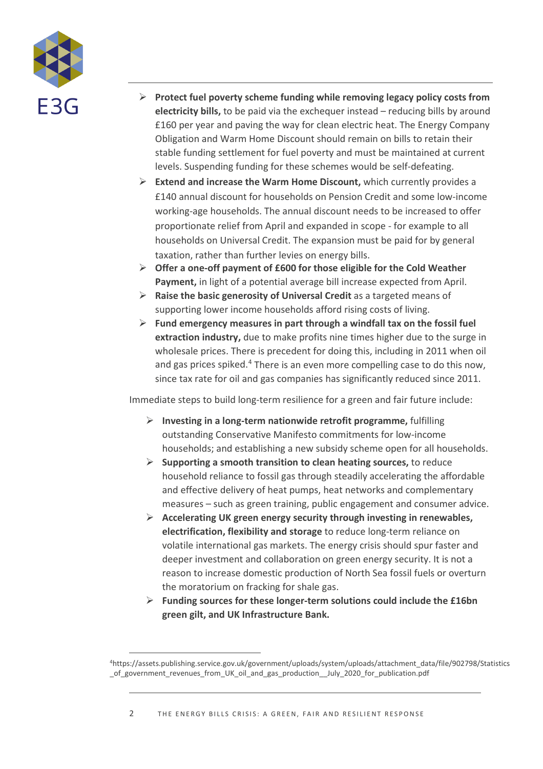

- **Protect fuel poverty scheme funding while removing legacy policy costs from electricity bills,** to be paid via the exchequer instead – reducing bills by around £160 per year and paving the way for clean electric heat. The Energy Company Obligation and Warm Home Discount should remain on bills to retain their stable funding settlement for fuel poverty and must be maintained at current levels. Suspending funding for these schemes would be self-defeating.
- **Extend and increase the Warm Home Discount,** which currently provides a £140 annual discount for households on Pension Credit and some low-income working-age households. The annual discount needs to be increased to offer proportionate relief from April and expanded in scope - for example to all households on Universal Credit. The expansion must be paid for by general taxation, rather than further levies on energy bills.
- **Offer a one-off payment of £600 for those eligible for the Cold Weather Payment,** in light of a potential average bill increase expected from April.
- **Raise the basic generosity of Universal Credit** as a targeted means of supporting lower income households afford rising costs of living.
- **Fund emergency measures in part through a windfall tax on the fossil fuel extraction industry,** due to make profits nine times higher due to the surge in wholesale prices. There is precedent for doing this, including in 2011 when oil and gas prices spiked.<sup>[4](#page-1-0)</sup> There is an even more compelling case to do this now, since tax rate for oil and gas companies has significantly reduced since 2011.

Immediate steps to build long-term resilience for a green and fair future include:

- **Investing in a long-term nationwide retrofit programme,** fulfilling outstanding Conservative Manifesto commitments for low-income households; and establishing a new subsidy scheme open for all households.
- **Supporting a smooth transition to clean heating sources,** to reduce household reliance to fossil gas through steadily accelerating the affordable and effective delivery of heat pumps, heat networks and complementary measures – such as green training, public engagement and consumer advice.
- **Accelerating UK green energy security through investing in renewables, electrification, flexibility and storage** to reduce long-term reliance on volatile international gas markets. The energy crisis should spur faster and deeper investment and collaboration on green energy security. It is not a reason to increase domestic production of North Sea fossil fuels or overturn the moratorium on fracking for shale gas.
- **Funding sources for these longer-term solutions could include the £16bn green gilt, and UK Infrastructure Bank.**

<span id="page-1-0"></span><sup>4</sup>https://assets.publishing.service.gov.uk/government/uploads/system/uploads/attachment\_data/file/902798/Statistics \_of\_government\_revenues\_from\_UK\_oil\_and\_gas\_production\_\_July\_2020\_for\_publication.pdf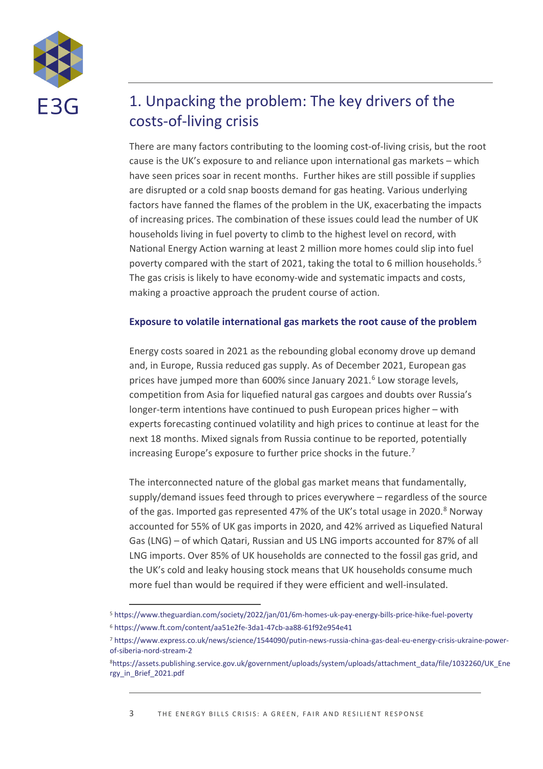

## 1. Unpacking the problem: The key drivers of the costs-of-living crisis

There are many factors contributing to the looming cost-of-living crisis, but the root cause is the UK's exposure to and reliance upon international gas markets – which have seen prices soar in recent months. Further hikes are still possible if supplies are disrupted or a cold snap boosts demand for gas heating. Various underlying factors have fanned the flames of the problem in the UK, exacerbating the impacts of increasing prices. The combination of these issues could lead the number of UK households living in fuel poverty to climb to the highest level on record, with National Energy Action warning at least 2 million more homes could slip into fuel poverty compared with the start of 2021, taking the total to 6 million households.<sup>[5](#page-2-0)</sup> The gas crisis is likely to have economy-wide and systematic impacts and costs, making a proactive approach the prudent course of action.

### **Exposure to volatile international gas markets the root cause of the problem**

Energy costs soared in 2021 as the rebounding global economy drove up demand and, in Europe, Russia reduced gas supply. As of December 2021, European gas prices have jumped more than [6](#page-2-1)00% since January 2021.<sup>6</sup> Low storage levels, competition from Asia for liquefied natural gas cargoes and doubts over Russia's longer-term intentions have continued to push European prices higher – with experts forecasting continued volatility and high prices to continue at least for the next 18 months. Mixed signals from Russia continue to be reported, potentially increasing Europe's exposure to further price shocks in the future.<sup>[7](#page-2-2)</sup>

The interconnected nature of the global gas market means that fundamentally, supply/demand issues feed through to prices everywhere – regardless of the source of the gas. Imported gas represented 47% of the UK's total usage in 2020.<sup>[8](#page-2-3)</sup> Norway accounted for 55% of UK gas imports in 2020, and 42% arrived as Liquefied Natural Gas (LNG) – of which Qatari, Russian and US LNG imports accounted for 87% of all LNG imports. Over 85% of UK households are connected to the fossil gas grid, and the UK's cold and leaky housing stock means that UK households consume much more fuel than would be required if they were efficient and well-insulated.

<span id="page-2-1"></span><span id="page-2-0"></span><sup>5</sup> <https://www.theguardian.com/society/2022/jan/01/6m-homes-uk-pay-energy-bills-price-hike-fuel-poverty> <sup>6</sup> <https://www.ft.com/content/aa51e2fe-3da1-47cb-aa88-61f92e954e41>

<span id="page-2-2"></span><sup>7</sup> [https://www.express.co.uk/news/science/1544090/putin-news-russia-china-gas-deal-eu-energy-crisis-ukraine-power](https://www.express.co.uk/news/science/1544090/putin-news-russia-china-gas-deal-eu-energy-crisis-ukraine-power-of-siberia-nord-stream-2)[of-siberia-nord-stream-2](https://www.express.co.uk/news/science/1544090/putin-news-russia-china-gas-deal-eu-energy-crisis-ukraine-power-of-siberia-nord-stream-2)

<span id="page-2-3"></span>[<sup>8</sup>https://assets.publishing.service.gov.uk/government/uploads/system/uploads/attachment\\_data/file/1032260/UK\\_Ene](https://assets.publishing.service.gov.uk/government/uploads/system/uploads/attachment_data/file/1032260/UK_Energy_in_Brief_2021.pdf) [rgy\\_in\\_Brief\\_2021.pdf](https://assets.publishing.service.gov.uk/government/uploads/system/uploads/attachment_data/file/1032260/UK_Energy_in_Brief_2021.pdf)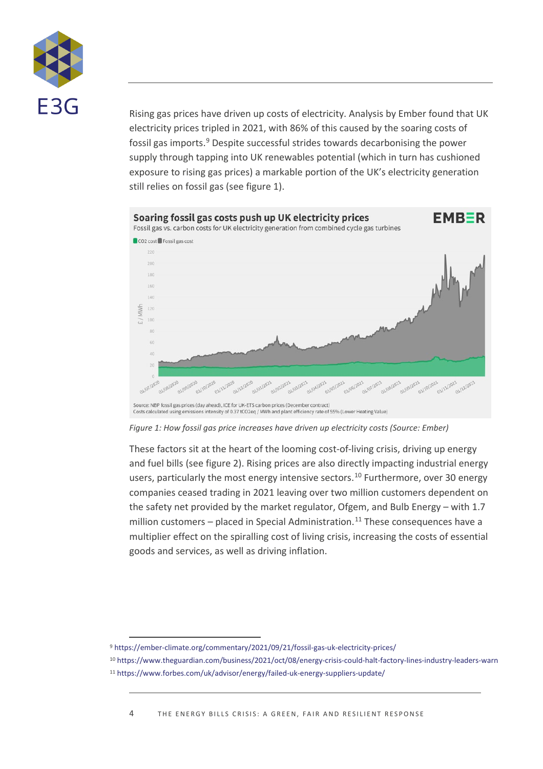

Rising gas prices have driven up costs of electricity. Analysis by Ember found that UK electricity prices tripled in 2021, with 86% of this caused by the soaring costs of fossil gas imports.[9](#page-3-0) Despite successful strides towards decarbonising the power supply through tapping into UK renewables potential (which in turn has cushioned exposure to rising gas prices) a markable portion of the UK's electricity generation still relies on fossil gas (see figure 1).



*Figure 1: How fossil gas price increases have driven up electricity costs (Source: Ember)*

These factors sit at the heart of the looming cost-of-living crisis, driving up energy and fuel bills (see figure 2). Rising prices are also directly impacting industrial energy users, particularly the most energy intensive sectors. [10](#page-3-1) Furthermore, over 30 energy companies ceased trading in 2021 leaving over two million customers dependent on the safety net provided by the market regulator, Ofgem, and Bulb Energy – with 1.7 million customers – placed in Special Administration.<sup>[11](#page-3-2)</sup> These consequences have a multiplier effect on the spiralling cost of living crisis, increasing the costs of essential goods and services, as well as driving inflation.

<span id="page-3-1"></span><span id="page-3-0"></span><sup>9</sup> <https://ember-climate.org/commentary/2021/09/21/fossil-gas-uk-electricity-prices/>

<sup>10</sup> <https://www.theguardian.com/business/2021/oct/08/energy-crisis-could-halt-factory-lines-industry-leaders-warn>

<span id="page-3-2"></span><sup>11</sup> <https://www.forbes.com/uk/advisor/energy/failed-uk-energy-suppliers-update/>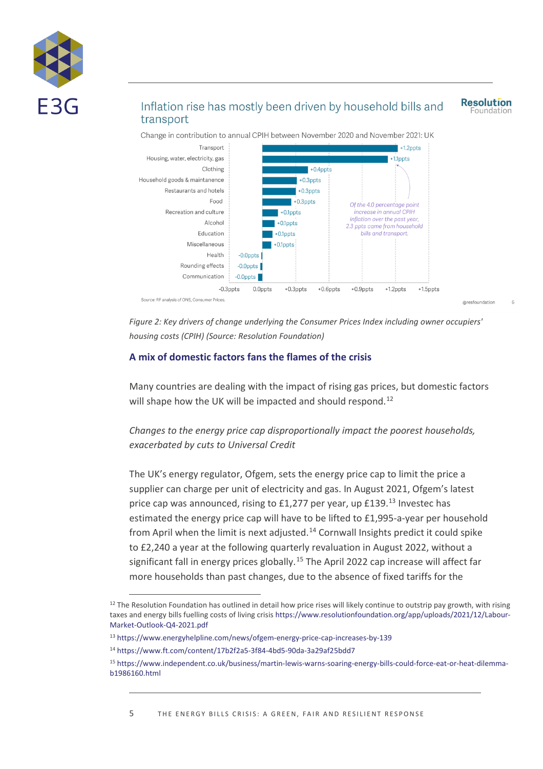

## Inflation rise has mostly been driven by household bills and transport

**Resolution** Foundation

@resfoundation





*Figure 2: Key drivers of change underlying the Consumer Prices Index including owner occupiers' housing costs (CPIH) (Source: Resolution Foundation)*

#### **A mix of domestic factors fans the flames of the crisis**

Many countries are dealing with the impact of rising gas prices, but domestic factors will shape how the UK will be impacted and should respond.<sup>[12](#page-4-0)</sup>

*Changes to the energy price cap disproportionally impact the poorest households, exacerbated by cuts to Universal Credit* 

The UK's energy regulator, Ofgem, sets the energy price cap to limit the price a supplier can charge per unit of electricity and gas. In August 2021, Ofgem's latest price cap was announced, rising to £1,277 per year, up £[13](#page-4-1)9.<sup>13</sup> Investec has estimated the energy price cap will have to be lifted to £1,995-a-year per household from April when the limit is next adjusted.<sup>[14](#page-4-2)</sup> Cornwall Insights predict it could spike to £2,240 a year at the following quarterly revaluation in August 2022, without a significant fall in energy prices globally.<sup>[15](#page-4-3)</sup> The April 2022 cap increase will affect far more households than past changes, due to the absence of fixed tariffs for the

<span id="page-4-0"></span> $12$  The Resolution Foundation has outlined in detail how price rises will likely continue to outstrip pay growth, with rising taxes and energy bills fuelling costs of living crisis [https://www.resolutionfoundation.org/app/uploads/2021/12/Labour-](https://www.resolutionfoundation.org/app/uploads/2021/12/Labour-Market-Outlook-Q4-2021.pdf)[Market-Outlook-Q4-2021.pdf](https://www.resolutionfoundation.org/app/uploads/2021/12/Labour-Market-Outlook-Q4-2021.pdf)

<span id="page-4-1"></span><sup>13</sup> <https://www.energyhelpline.com/news/ofgem-energy-price-cap-increases-by-139>

<span id="page-4-3"></span><span id="page-4-2"></span><sup>14</sup> <https://www.ft.com/content/17b2f2a5-3f84-4bd5-90da-3a29af25bdd7>

<sup>15</sup> [https://www.independent.co.uk/business/martin-lewis-warns-soaring-energy-bills-could-force-eat-or-heat-dilemma](https://www.independent.co.uk/business/martin-lewis-warns-soaring-energy-bills-could-force-eat-or-heat-dilemma-b1986160.html)[b1986160.html](https://www.independent.co.uk/business/martin-lewis-warns-soaring-energy-bills-could-force-eat-or-heat-dilemma-b1986160.html)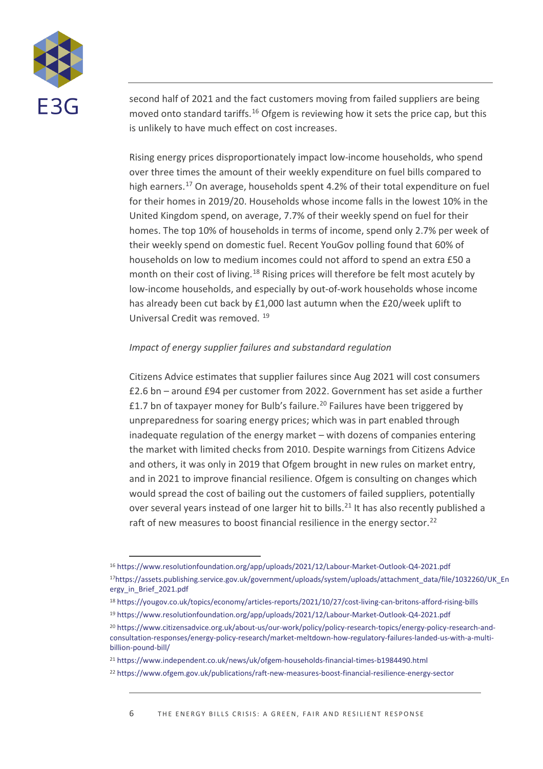

second half of 2021 and the fact customers moving from failed suppliers are being moved onto standard tariffs.<sup>[16](#page-5-0)</sup> Ofgem is reviewing how it sets the price cap, but this is unlikely to have much effect on cost increases.

Rising energy prices disproportionately impact low-income households, who spend over three times the amount of their weekly expenditure on fuel bills compared to high earners. [17](#page-5-1) On average, households spent 4.2% of their total expenditure on fuel for their homes in 2019/20. Households whose income falls in the lowest 10% in the United Kingdom spend, on average, 7.7% of their weekly spend on fuel for their homes. The top 10% of households in terms of income, spend only 2.7% per week of their weekly spend on domestic fuel. Recent YouGov polling found that 60% of households on low to medium incomes could not afford to spend an extra £50 a month on their cost of living.<sup>[18](#page-5-2)</sup> Rising prices will therefore be felt most acutely by low-income households, and especially by out-of-work households whose income has already been cut back by £1,000 last autumn when the £20/week uplift to Universal Credit was removed. [19](#page-5-3)

#### *Impact of energy supplier failures and substandard regulation*

Citizens Advice estimates that supplier failures since Aug 2021 will cost consumers £2.6 bn – around £94 per customer from 2022. Government has set aside a further £1.7 bn of taxpayer money for Bulb's failure.<sup>[20](#page-5-4)</sup> Failures have been triggered by unpreparedness for soaring energy prices; which was in part enabled through inadequate regulation of the energy market – with dozens of companies entering the market with limited checks from 2010. Despite warnings from Citizens Advice and others, it was only in 2019 that Ofgem brought in new rules on market entry, and in 2021 to improve financial resilience. Ofgem is consulting on changes which would spread the cost of bailing out the customers of failed suppliers, potentially over several years instead of one larger hit to bills.<sup>[21](#page-5-5)</sup> It has also recently published a raft of new measures to boost financial resilience in the energy sector.<sup>[22](#page-5-6)</sup>

<span id="page-5-1"></span><span id="page-5-0"></span><sup>16</sup> <https://www.resolutionfoundation.org/app/uploads/2021/12/Labour-Market-Outlook-Q4-2021.pdf> 1[7https://assets.publishing.service.gov.uk/government/uploads/system/uploads/attachment\\_data/file/1032260/UK\\_En](https://assets.publishing.service.gov.uk/government/uploads/system/uploads/attachment_data/file/1032260/UK_Energy_in_Brief_2021.pdf) [ergy\\_in\\_Brief\\_2021.pdf](https://assets.publishing.service.gov.uk/government/uploads/system/uploads/attachment_data/file/1032260/UK_Energy_in_Brief_2021.pdf)

<span id="page-5-2"></span><sup>18</sup> <https://yougov.co.uk/topics/economy/articles-reports/2021/10/27/cost-living-can-britons-afford-rising-bills>

<span id="page-5-3"></span><sup>19</sup> <https://www.resolutionfoundation.org/app/uploads/2021/12/Labour-Market-Outlook-Q4-2021.pdf>

<span id="page-5-4"></span><sup>20</sup> [https://www.citizensadvice.org.uk/about-us/our-work/policy/policy-research-topics/energy-policy-research-and](https://www.citizensadvice.org.uk/about-us/our-work/policy/policy-research-topics/energy-policy-research-and-consultation-responses/energy-policy-research/market-meltdown-how-regulatory-failures-landed-us-with-a-multi-billion-pound-bill/)[consultation-responses/energy-policy-research/market-meltdown-how-regulatory-failures-landed-us-with-a-multi](https://www.citizensadvice.org.uk/about-us/our-work/policy/policy-research-topics/energy-policy-research-and-consultation-responses/energy-policy-research/market-meltdown-how-regulatory-failures-landed-us-with-a-multi-billion-pound-bill/)[billion-pound-bill/](https://www.citizensadvice.org.uk/about-us/our-work/policy/policy-research-topics/energy-policy-research-and-consultation-responses/energy-policy-research/market-meltdown-how-regulatory-failures-landed-us-with-a-multi-billion-pound-bill/)

<span id="page-5-5"></span><sup>&</sup>lt;sup>21</sup> <https://www.independent.co.uk/news/uk/ofgem-households-financial-times-b1984490.html>

<span id="page-5-6"></span><sup>22</sup> <https://www.ofgem.gov.uk/publications/raft-new-measures-boost-financial-resilience-energy-sector>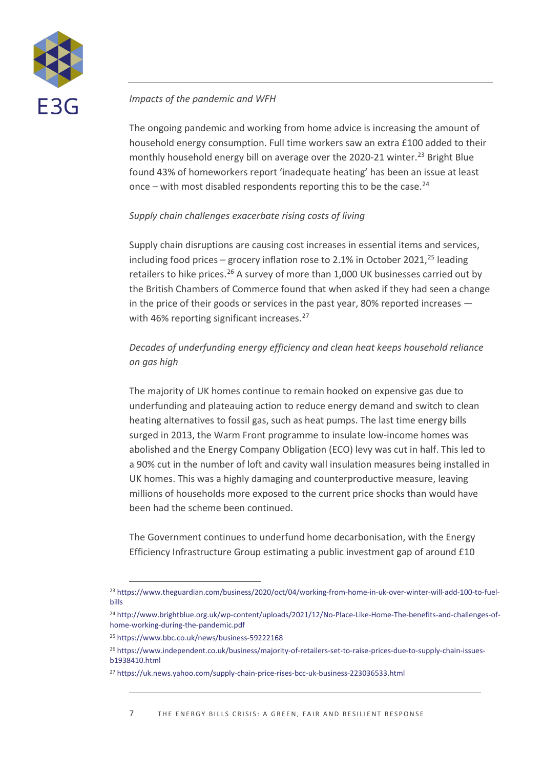

### *Impacts of the pandemic and WFH*

The ongoing pandemic and working from home advice is increasing the amount of household energy consumption. Full time workers saw an extra £100 added to their monthly household energy bill on average over the 2020-21 winter.<sup>[23](#page-6-0)</sup> Bright Blue found 43% of homeworkers report 'inadequate heating' has been an issue at least once – with most disabled respondents reporting this to be the case.<sup>[24](#page-6-1)</sup>

#### *Supply chain challenges exacerbate rising costs of living*

Supply chain disruptions are causing cost increases in essential items and services, including food prices – grocery inflation rose to 2.1% in October 2021, [25](#page-6-2) leading retailers to hike prices.<sup>[26](#page-6-3)</sup> A survey of more than 1,000 UK businesses carried out by the British Chambers of Commerce found that when asked if they had seen a change in the price of their goods or services in the past year, 80% reported increases — with 46% reporting significant increases.<sup>[27](#page-6-4)</sup>

## *Decades of underfunding energy efficiency and clean heat keeps household reliance on gas high*

The majority of UK homes continue to remain hooked on expensive gas due to underfunding and plateauing action to reduce energy demand and switch to clean heating alternatives to fossil gas, such as heat pumps. The last time energy bills surged in 2013, the Warm Front programme to insulate low-income homes was abolished and the Energy Company Obligation (ECO) levy was cut in half. This led to a 90% cut in the number of loft and cavity wall insulation measures being installed in UK homes. This was a highly damaging and counterproductive measure, leaving millions of households more exposed to the current price shocks than would have been had the scheme been continued.

The Government continues to underfund home decarbonisation, with the Energy Efficiency Infrastructure Group estimating a public investment gap of around £10

<span id="page-6-0"></span><sup>23</sup> [https://www.theguardian.com/business/2020/oct/04/working-from-home-in-uk-over-winter-will-add-100-to-fuel](https://www.theguardian.com/business/2020/oct/04/working-from-home-in-uk-over-winter-will-add-100-to-fuel-bills)[bills](https://www.theguardian.com/business/2020/oct/04/working-from-home-in-uk-over-winter-will-add-100-to-fuel-bills)

<span id="page-6-1"></span><sup>24</sup> [http://www.brightblue.org.uk/wp-content/uploads/2021/12/No-Place-Like-Home-The-benefits-and-challenges-of](http://www.brightblue.org.uk/wp-content/uploads/2021/12/No-Place-Like-Home-The-benefits-and-challenges-of-home-working-during-the-pandemic.pdf)[home-working-during-the-pandemic.pdf](http://www.brightblue.org.uk/wp-content/uploads/2021/12/No-Place-Like-Home-The-benefits-and-challenges-of-home-working-during-the-pandemic.pdf)

<span id="page-6-2"></span><sup>25</sup> <https://www.bbc.co.uk/news/business-59222168>

<span id="page-6-3"></span><sup>26</sup> [https://www.independent.co.uk/business/majority-of-retailers-set-to-raise-prices-due-to-supply-chain-issues](https://www.independent.co.uk/business/majority-of-retailers-set-to-raise-prices-due-to-supply-chain-issues-b1938410.html)[b1938410.html](https://www.independent.co.uk/business/majority-of-retailers-set-to-raise-prices-due-to-supply-chain-issues-b1938410.html)

<span id="page-6-4"></span><sup>27</sup> <https://uk.news.yahoo.com/supply-chain-price-rises-bcc-uk-business-223036533.html>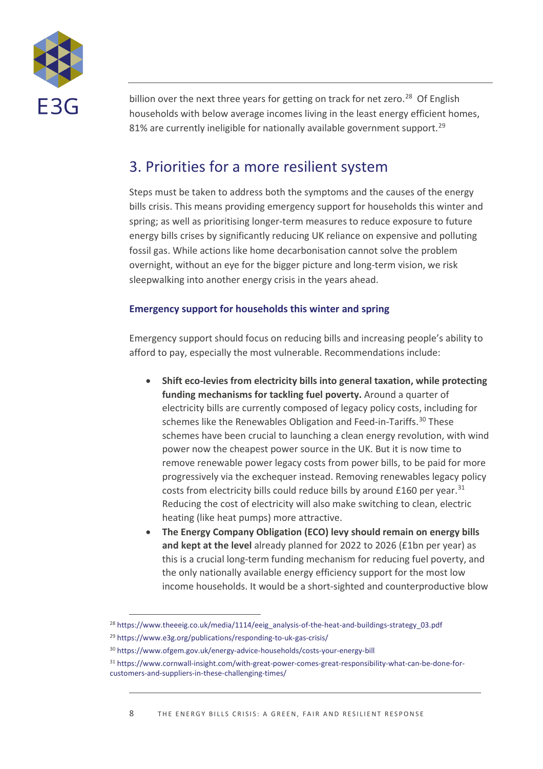

billion over the next three years for getting on track for net zero.<sup>28</sup> Of English households with below average incomes living in the least energy efficient homes, 81% are currently ineligible for nationally available government support.<sup>[29](#page-7-1)</sup>

## 3. Priorities for a more resilient system

Steps must be taken to address both the symptoms and the causes of the energy bills crisis. This means providing emergency support for households this winter and spring; as well as prioritising longer-term measures to reduce exposure to future energy bills crises by significantly reducing UK reliance on expensive and polluting fossil gas. While actions like home decarbonisation cannot solve the problem overnight, without an eye for the bigger picture and long-term vision, we risk sleepwalking into another energy crisis in the years ahead.

### **Emergency support for households this winter and spring**

Emergency support should focus on reducing bills and increasing people's ability to afford to pay, especially the most vulnerable. Recommendations include:

- **Shift eco-levies from electricity bills into general taxation, while protecting funding mechanisms for tackling fuel poverty.** Around a quarter of electricity bills are currently composed of legacy policy costs, including for schemes like the Renewables Obligation and Feed-in-Tariffs. [30](#page-7-2) These schemes have been crucial to launching a clean energy revolution, with wind power now the cheapest power source in the UK. But it is now time to remove renewable power legacy costs from power bills, to be paid for more progressively via the exchequer instead. Removing renewables legacy policy costs from electricity bills could reduce bills by around  $£160$  per year.<sup>[31](#page-7-3)</sup> Reducing the cost of electricity will also make switching to clean, electric heating (like heat pumps) more attractive.
- **The Energy Company Obligation (ECO) levy should remain on energy bills and kept at the level** already planned for 2022 to 2026 (£1bn per year) as this is a crucial long-term funding mechanism for reducing fuel poverty, and the only nationally available energy efficiency support for the most low income households. It would be a short-sighted and counterproductive blow

<span id="page-7-0"></span><sup>&</sup>lt;sup>28</sup> [https://www.theeeig.co.uk/media/1114/eeig\\_analysis-of-the-heat-and-buildings-strategy\\_03.pdf](https://www.theeeig.co.uk/media/1114/eeig_analysis-of-the-heat-and-buildings-strategy_03.pdf)

<span id="page-7-1"></span><sup>29</sup> <https://www.e3g.org/publications/responding-to-uk-gas-crisis/>

<span id="page-7-2"></span><sup>30</sup> <https://www.ofgem.gov.uk/energy-advice-households/costs-your-energy-bill>

<span id="page-7-3"></span><sup>31</sup> [https://www.cornwall-insight.com/with-great-power-comes-great-responsibility-what-can-be-done-for](https://www.cornwall-insight.com/with-great-power-comes-great-responsibility-what-can-be-done-for-customers-and-suppliers-in-these-challenging-times/)[customers-and-suppliers-in-these-challenging-times/](https://www.cornwall-insight.com/with-great-power-comes-great-responsibility-what-can-be-done-for-customers-and-suppliers-in-these-challenging-times/)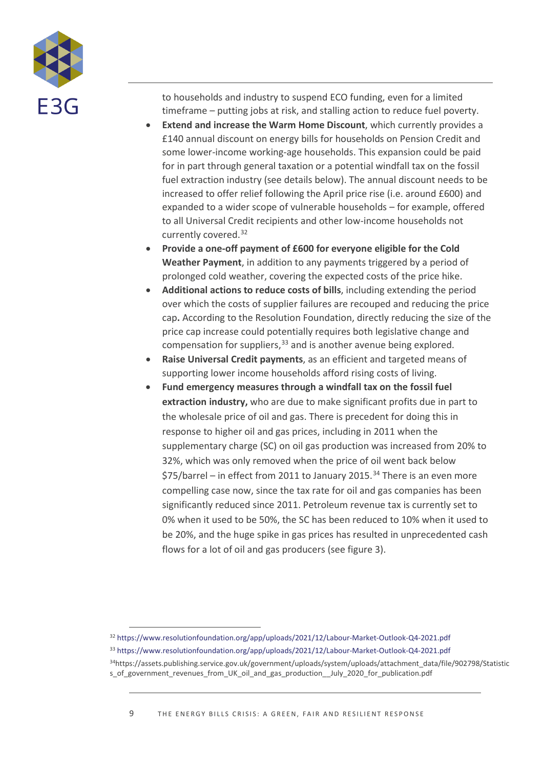

to households and industry to suspend ECO funding, even for a limited timeframe – putting jobs at risk, and stalling action to reduce fuel poverty.

- **Extend and increase the Warm Home Discount**, which currently provides a £140 annual discount on energy bills for households on Pension Credit and some lower-income working-age households. This expansion could be paid for in part through general taxation or a potential windfall tax on the fossil fuel extraction industry (see details below). The annual discount needs to be increased to offer relief following the April price rise (i.e. around £600) and expanded to a wider scope of vulnerable households – for example, offered to all Universal Credit recipients and other low-income households not currently covered. [32](#page-8-0)
- **Provide a one-off payment of £600 for everyone eligible for the Cold Weather Payment**, in addition to any payments triggered by a period of prolonged cold weather, covering the expected costs of the price hike.
- **Additional actions to reduce costs of bills**, including extending the period over which the costs of supplier failures are recouped and reducing the price cap**.** According to the Resolution Foundation, directly reducing the size of the price cap increase could potentially requires both legislative change and compensation for suppliers, [33](#page-8-1) and is another avenue being explored.
- **Raise Universal Credit payments**, as an efficient and targeted means of supporting lower income households afford rising costs of living.
- **Fund emergency measures through a windfall tax on the fossil fuel extraction industry,** who are due to make significant profits due in part to the wholesale price of oil and gas. There is precedent for doing this in response to higher oil and gas prices, including in 2011 when the supplementary charge (SC) on oil gas production was increased from 20% to 32%, which was only removed when the price of oil went back below  $$75/b$ arrel – in effect from 2011 to January 2015.<sup>[34](#page-8-2)</sup> There is an even more compelling case now, since the tax rate for oil and gas companies has been significantly reduced since 2011. Petroleum revenue tax is currently set to 0% when it used to be 50%, the SC has been reduced to 10% when it used to be 20%, and the huge spike in gas prices has resulted in unprecedented cash flows for a lot of oil and gas producers (see figure 3).

<span id="page-8-0"></span><sup>32</sup> <https://www.resolutionfoundation.org/app/uploads/2021/12/Labour-Market-Outlook-Q4-2021.pdf>

<span id="page-8-1"></span><sup>33</sup> <https://www.resolutionfoundation.org/app/uploads/2021/12/Labour-Market-Outlook-Q4-2021.pdf>

<span id="page-8-2"></span><sup>34</sup>https://assets.publishing.service.gov.uk/government/uploads/system/uploads/attachment\_data/file/902798/Statistic s\_of\_government\_revenues\_from\_UK\_oil\_and\_gas\_production\_\_July\_2020\_for\_publication.pdf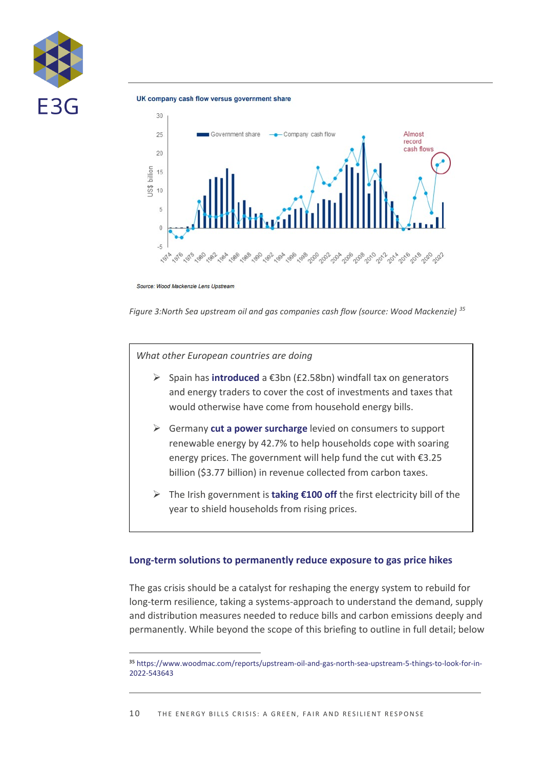

UK company cash flow versus government share



Source: Wood Mackenzie Lens Upstream

*Figure 3:North Sea upstream oil and gas companies cash flow (source: Wood Mackenzie) [35](#page-9-0)*

*What other European countries are doing*

- Spain has **[introduced](https://www.theguardian.com/uk-news/2021/sep/22/windfall-tax-on-firms-profiting-from-gas-price-rises-an-option-says-minister#:%7E:text=The%20windfall%20tax%20in%20Spain,come%20from%20household%20energy%20bills.)** a €3bn (£2.58bn) windfall tax on generators and energy traders to cover the cost of investments and taxes that would otherwise have come from household energy bills.
- Germany **[cut a power surcharge](https://www.reuters.com/business/energy/germany-slashes-energy-surcharge-help-consumers-weather-soaring-prices-2021-10-15/)** levied on consumers to support renewable energy by 42.7% to help households cope with soaring energy prices. The government will help fund the cut with €3.25 billion (\$3.77 billion) in revenue collected from carbon taxes.
- The Irish government is **[taking €100 off](https://www.independent.co.uk/news/world/government-households-consumers-cabinet-dublin-b1973595.html)** the first electricity bill of the year to shield households from rising prices.

#### **Long-term solutions to permanently reduce exposure to gas price hikes**

The gas crisis should be a catalyst for reshaping the energy system to rebuild for long-term resilience, taking a systems-approach to understand the demand, supply and distribution measures needed to reduce bills and carbon emissions deeply and permanently. While beyond the scope of this briefing to outline in full detail; below

<span id="page-9-0"></span>**<sup>35</sup>** [https://www.woodmac.com/reports/upstream-oil-and-gas-north-sea-upstream-5-things-to-look-for-in-](https://www.woodmac.com/reports/upstream-oil-and-gas-north-sea-upstream-5-things-to-look-for-in-2022-543643)[2022-543643](https://www.woodmac.com/reports/upstream-oil-and-gas-north-sea-upstream-5-things-to-look-for-in-2022-543643)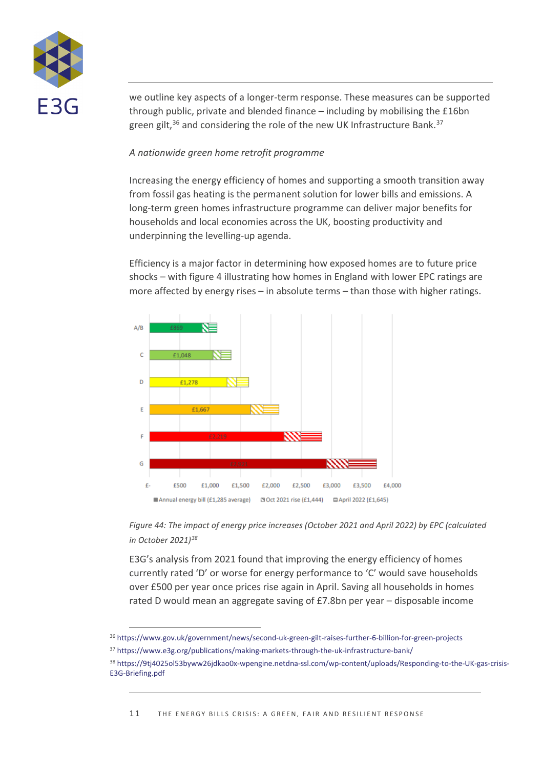

we outline key aspects of a longer-term response. These measures can be supported through public, private and blended finance – including by mobilising the £16bn green gilt,<sup>[36](#page-10-0)</sup> and considering the role of the new UK Infrastructure Bank.<sup>[37](#page-10-1)</sup>

### *A nationwide green home retrofit programme*

Increasing the energy efficiency of homes and supporting a smooth transition away from fossil gas heating is the permanent solution for lower bills and emissions. A long-term green homes infrastructure programme can deliver major benefits for households and local economies across the UK, boosting productivity and underpinning the levelling-up agenda.

Efficiency is a major factor in determining how exposed homes are to future price shocks – with figure 4 illustrating how homes in England with lower EPC ratings are more affected by energy rises – in absolute terms – than those with higher ratings.



*Figure 44: The impact of energy price increases (October 2021 and April 2022) by EPC (calculated in October 2021)[38](#page-10-2)*

E3G's analysis from 2021 found that improving the energy efficiency of homes currently rated 'D' or worse for energy performance to 'C' would save households over £500 per year once prices rise again in April. Saving all households in homes rated D would mean an aggregate saving of £7.8bn per year – disposable income

<span id="page-10-0"></span><sup>36</sup> <https://www.gov.uk/government/news/second-uk-green-gilt-raises-further-6-billion-for-green-projects>

<span id="page-10-1"></span><sup>37</sup> <https://www.e3g.org/publications/making-markets-through-the-uk-infrastructure-bank/>

<span id="page-10-2"></span><sup>38</sup> [https://9tj4025ol53byww26jdkao0x-wpengine.netdna-ssl.com/wp-content/uploads/Responding-to-the-UK-gas-crisis-](https://9tj4025ol53byww26jdkao0x-wpengine.netdna-ssl.com/wp-content/uploads/Responding-to-the-UK-gas-crisis-E3G-Briefing.pdf)[E3G-Briefing.pdf](https://9tj4025ol53byww26jdkao0x-wpengine.netdna-ssl.com/wp-content/uploads/Responding-to-the-UK-gas-crisis-E3G-Briefing.pdf)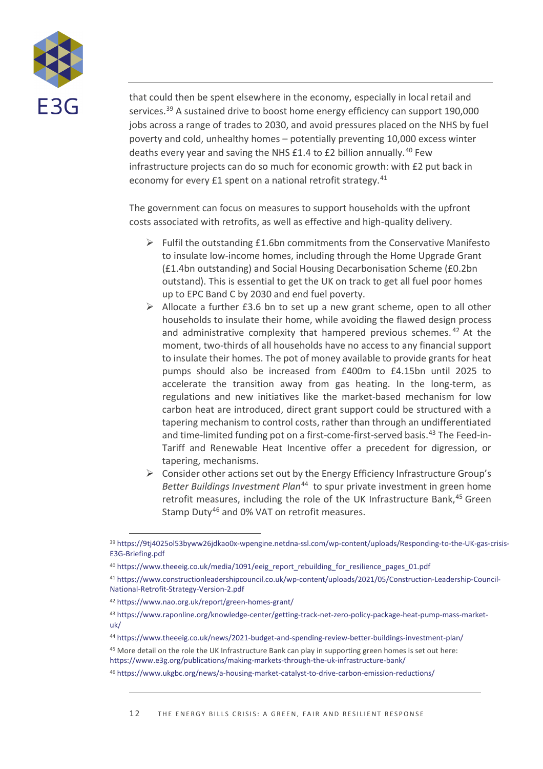

that could then be spent elsewhere in the economy, especially in local retail and services.<sup>[39](#page-11-0)</sup> A sustained drive to boost home energy efficiency can support 190,000 jobs across a range of trades to 2030, and avoid pressures placed on the NHS by fuel poverty and cold, unhealthy homes – potentially preventing 10,000 excess winter deaths every year and saving the NHS £1.4 to £2 billion annually.<sup>[40](#page-11-1)</sup> Few infrastructure projects can do so much for economic growth: with £2 put back in economy for every £1 spent on a national retrofit strategy.<sup>[41](#page-11-2)</sup>

The government can focus on measures to support households with the upfront costs associated with retrofits, as well as effective and high-quality delivery.

- $\triangleright$  Fulfil the outstanding £1.6bn commitments from the Conservative Manifesto to insulate low-income homes, including through the Home Upgrade Grant (£1.4bn outstanding) and Social Housing Decarbonisation Scheme (£0.2bn outstand). This is essential to get the UK on track to get all fuel poor homes up to EPC Band C by 2030 and end fuel poverty.
- $\triangleright$  Allocate a further £3.6 bn to set up a new grant scheme, open to all other households to insulate their home, while avoiding the flawed design process and administrative complexity that hampered previous schemes. [42](#page-11-3) At the moment, two-thirds of all households have no access to any financial support to insulate their homes. The pot of money available to provide grants for heat pumps should also be increased from £400m to £4.15bn until 2025 to accelerate the transition away from gas heating. In the long-term, as regulations and new initiatives like the market-based mechanism for low carbon heat are introduced, direct grant support could be structured with a tapering mechanism to control costs, rather than through an undifferentiated and time-limited funding pot on a first-come-first-served basis. $43$  The Feed-in-Tariff and Renewable Heat Incentive offer a precedent for digression, or tapering, mechanisms.
- $\triangleright$  Consider other actions set out by the Energy Efficiency Infrastructure Group's *Better Buildings Investment Plan*[44](#page-11-5) to spur private investment in green home retrofit measures, including the role of the UK Infrastructure Bank,<sup>[45](#page-11-6)</sup> Green Stamp Duty<sup>[46](#page-11-7)</sup> and 0% VAT on retrofit measures.

<span id="page-11-0"></span><sup>39</sup> [https://9tj4025ol53byww26jdkao0x-wpengine.netdna-ssl.com/wp-content/uploads/Responding-to-the-UK-gas-crisis-](https://9tj4025ol53byww26jdkao0x-wpengine.netdna-ssl.com/wp-content/uploads/Responding-to-the-UK-gas-crisis-E3G-Briefing.pdf)[E3G-Briefing.pdf](https://9tj4025ol53byww26jdkao0x-wpengine.netdna-ssl.com/wp-content/uploads/Responding-to-the-UK-gas-crisis-E3G-Briefing.pdf)

<span id="page-11-1"></span><sup>&</sup>lt;sup>40</sup> [https://www.theeeig.co.uk/media/1091/eeig\\_report\\_rebuilding\\_for\\_resilience\\_pages\\_01.pdf](https://www.theeeig.co.uk/media/1091/eeig_report_rebuilding_for_resilience_pages_01.pdf)

<span id="page-11-2"></span><sup>41</sup> [https://www.constructionleadershipcouncil.co.uk/wp-content/uploads/2021/05/Construction-Leadership-Council-](https://www.constructionleadershipcouncil.co.uk/wp-content/uploads/2021/05/Construction-Leadership-Council-National-Retrofit-Strategy-Version-2.pdf)[National-Retrofit-Strategy-Version-2.pdf](https://www.constructionleadershipcouncil.co.uk/wp-content/uploads/2021/05/Construction-Leadership-Council-National-Retrofit-Strategy-Version-2.pdf)

<span id="page-11-3"></span><sup>42</sup> <https://www.nao.org.uk/report/green-homes-grant/>

<span id="page-11-4"></span><sup>43</sup> [https://www.raponline.org/knowledge-center/getting-track-net-zero-policy-package-heat-pump-mass-market](https://www.raponline.org/knowledge-center/getting-track-net-zero-policy-package-heat-pump-mass-market-uk/)[uk/](https://www.raponline.org/knowledge-center/getting-track-net-zero-policy-package-heat-pump-mass-market-uk/)

<span id="page-11-5"></span><sup>44</sup> <https://www.theeeig.co.uk/news/2021-budget-and-spending-review-better-buildings-investment-plan/>

<span id="page-11-6"></span><sup>45</sup> More detail on the role the UK Infrastructure Bank can play in supporting green homes is set out here: <https://www.e3g.org/publications/making-markets-through-the-uk-infrastructure-bank/>

<span id="page-11-7"></span><sup>46</sup> <https://www.ukgbc.org/news/a-housing-market-catalyst-to-drive-carbon-emission-reductions/>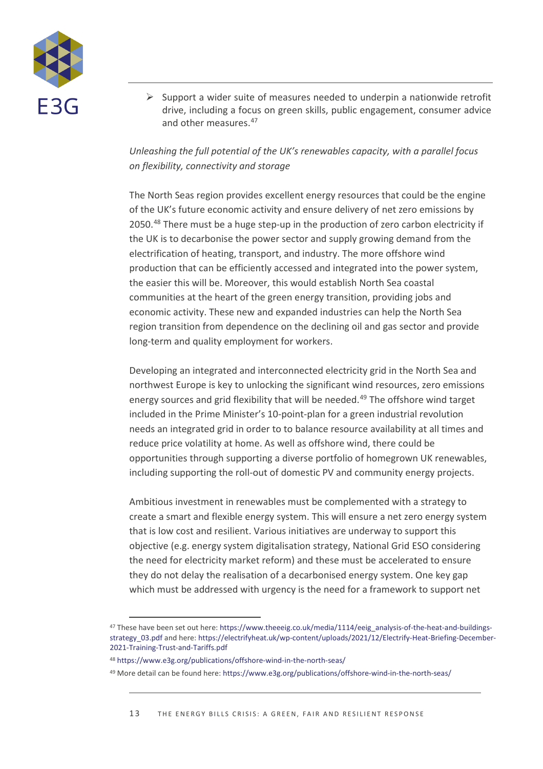

 $\triangleright$  Support a wider suite of measures needed to underpin a nationwide retrofit drive, including a focus on green skills, public engagement, consumer advice and other measures.<sup>[47](#page-12-0)</sup>

## *Unleashing the full potential of the UK's renewables capacity, with a parallel focus on flexibility, connectivity and storage*

The North Seas region provides excellent energy resources that could be the engine of the UK's future economic activity and ensure delivery of net zero emissions by 2050[.48](#page-12-1) There must be a huge step-up in the production of zero carbon electricity if the UK is to decarbonise the power sector and supply growing demand from the electrification of heating, transport, and industry. The more offshore wind production that can be efficiently accessed and integrated into the power system, the easier this will be. Moreover, this would establish North Sea coastal communities at the heart of the green energy transition, providing jobs and economic activity. These new and expanded industries can help the North Sea region transition from dependence on the declining oil and gas sector and provide long-term and quality employment for workers.

Developing an integrated and interconnected electricity grid in the North Sea and northwest Europe is key to unlocking the significant wind resources, zero emissions energy sources and grid flexibility that will be needed.<sup>[49](#page-12-2)</sup> The offshore wind target included in the Prime Minister's 10-point-plan for a green industrial revolution needs an integrated grid in order to to balance resource availability at all times and reduce price volatility at home. As well as offshore wind, there could be opportunities through supporting a diverse portfolio of homegrown UK renewables, including supporting the roll-out of domestic PV and community energy projects.

Ambitious investment in renewables must be complemented with a strategy to create a smart and flexible energy system. This will ensure a net zero energy system that is low cost and resilient. Various initiatives are underway to support this objective (e.g. energy system digitalisation strategy, National Grid ESO considering the need for electricity market reform) and these must be accelerated to ensure they do not delay the realisation of a decarbonised energy system. One key gap which must be addressed with urgency is the need for a framework to support net

<span id="page-12-0"></span><sup>&</sup>lt;sup>47</sup> These have been set out here: [https://www.theeeig.co.uk/media/1114/eeig\\_analysis-of-the-heat-and-buildings-](https://www.theeeig.co.uk/media/1114/eeig_analysis-of-the-heat-and-buildings-strategy_03.pdf)strategy 03.pdf and here[: https://electrifyheat.uk/wp-content/uploads/2021/12/Electrify-Heat-Briefing-December-](https://electrifyheat.uk/wp-content/uploads/2021/12/Electrify-Heat-Briefing-December-2021-Training-Trust-and-Tariffs.pdf)[2021-Training-Trust-and-Tariffs.pdf](https://electrifyheat.uk/wp-content/uploads/2021/12/Electrify-Heat-Briefing-December-2021-Training-Trust-and-Tariffs.pdf)

<span id="page-12-1"></span><sup>48</sup> <https://www.e3g.org/publications/offshore-wind-in-the-north-seas/>

<span id="page-12-2"></span><sup>49</sup> More detail can be found here[: https://www.e3g.org/publications/offshore-wind-in-the-north-seas/](https://www.e3g.org/publications/offshore-wind-in-the-north-seas/)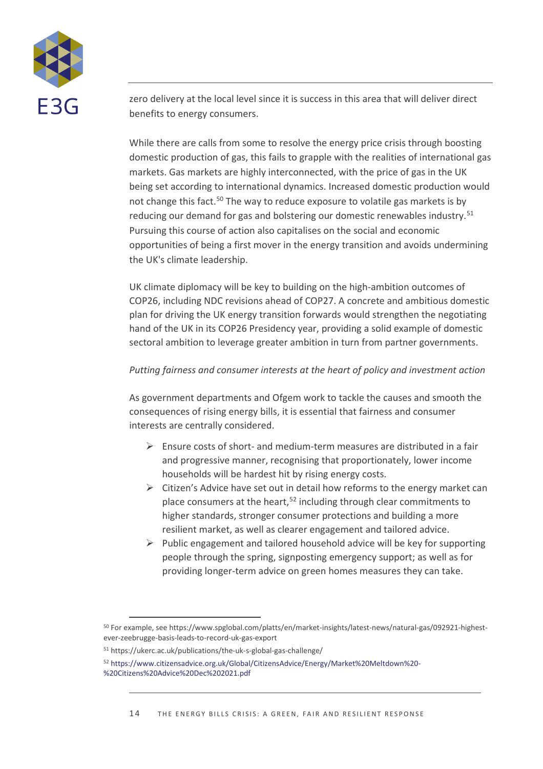

zero delivery at the local level since it is success in this area that will deliver direct benefits to energy consumers.

While there are calls from some to resolve the energy price crisis through boosting domestic production of gas, this fails to grapple with the realities of international gas markets. Gas markets are highly interconnected, with the price of gas in the UK being set according to international dynamics. Increased domestic production would not change this fact.<sup>[50](#page-13-0)</sup> The way to reduce exposure to volatile gas markets is by reducing our demand for gas and bolstering our domestic renewables industry.[51](#page-13-1) Pursuing this course of action also capitalises on the social and economic opportunities of being a first mover in the energy transition and avoids undermining the UK's climate leadership.

UK climate diplomacy will be key to building on the high-ambition outcomes of COP26, including NDC revisions ahead of COP27. A concrete and ambitious domestic plan for driving the UK energy transition forwards would strengthen the negotiating hand of the UK in its COP26 Presidency year, providing a solid example of domestic sectoral ambition to leverage greater ambition in turn from partner governments.

## *Putting fairness and consumer interests at the heart of policy and investment action*

As government departments and Ofgem work to tackle the causes and smooth the consequences of rising energy bills, it is essential that fairness and consumer interests are centrally considered.

- $\triangleright$  Ensure costs of short- and medium-term measures are distributed in a fair and progressive manner, recognising that proportionately, lower income households will be hardest hit by rising energy costs.
- $\triangleright$  Citizen's Advice have set out in detail how reforms to the energy market can place consumers at the heart,<sup>[52](#page-13-2)</sup> including through clear commitments to higher standards, stronger consumer protections and building a more resilient market, as well as clearer engagement and tailored advice.
- $\triangleright$  Public engagement and tailored household advice will be key for supporting people through the spring, signposting emergency support; as well as for providing longer-term advice on green homes measures they can take.

<span id="page-13-0"></span><sup>50</sup> For example, see https://www.spglobal.com/platts/en/market-insights/latest-news/natural-gas/092921-highestever-zeebrugge-basis-leads-to-record-uk-gas-export

<span id="page-13-1"></span><sup>51</sup> https://ukerc.ac.uk/publications/the-uk-s-global-gas-challenge/

<span id="page-13-2"></span><sup>52</sup> [https://www.citizensadvice.org.uk/Global/CitizensAdvice/Energy/Market%20Meltdown%20-](https://www.citizensadvice.org.uk/Global/CitizensAdvice/Energy/Market%20Meltdown%20-%20Citizens%20Advice%20Dec%202021.pdf) [%20Citizens%20Advice%20Dec%202021.pdf](https://www.citizensadvice.org.uk/Global/CitizensAdvice/Energy/Market%20Meltdown%20-%20Citizens%20Advice%20Dec%202021.pdf)